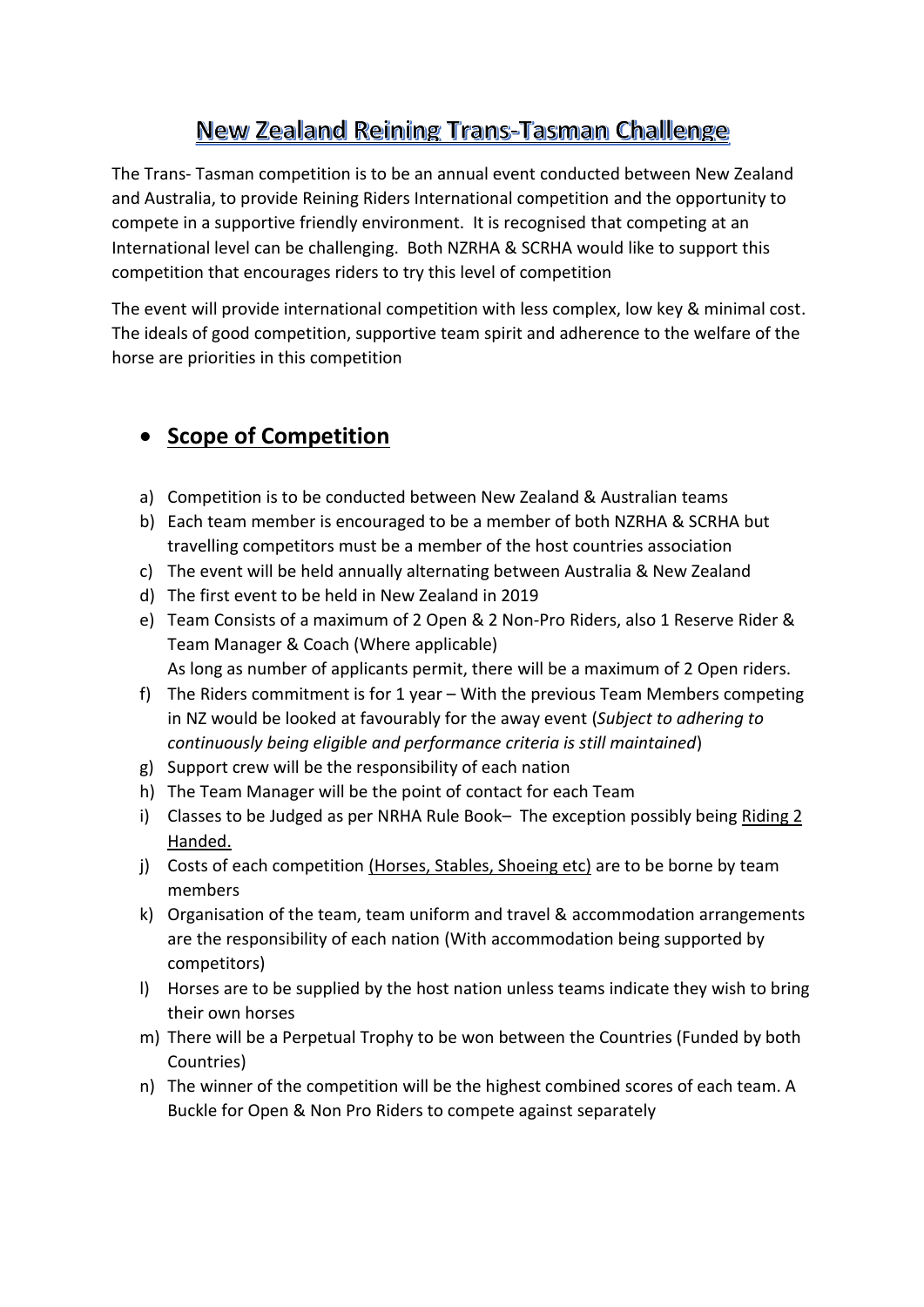# New Zealand Reining Trans-Tasman Challenge

The Trans- Tasman competition is to be an annual event conducted between New Zealand and Australia, to provide Reining Riders International competition and the opportunity to compete in a supportive friendly environment. It is recognised that competing at an International level can be challenging. Both NZRHA & SCRHA would like to support this competition that encourages riders to try this level of competition

The event will provide international competition with less complex, low key & minimal cost. The ideals of good competition, supportive team spirit and adherence to the welfare of the horse are priorities in this competition

#### **•** Scope of Competition

- a) Competition is to be conducted between New Zealand & Australian teams
- b) Each team member is encouraged to be a member of both NZRHA & SCRHA but travelling competitors must be a member of the host countries association
- c) The event will be held annually alternating between Australia & New Zealand
- d) The first event to be held in New Zealand in 2019
- e) Team Consists of a maximum of 2 Open & 2 Non-Pro Riders, also 1 Reserve Rider & Team Manager & Coach (Where applicable)

As long as number of applicants permit, there will be a maximum of 2 Open riders.

- f) The Riders commitment is for 1 year With the previous Team Members competing in NZ would be looked at favourably for the away event (*Subject to adhering to continuously being eligible and performance criteria is still maintained*)
- g) Support crew will be the responsibility of each nation
- h) The Team Manager will be the point of contact for each Team
- i) Classes to be Judged as per NRHA Rule Book- The exception possibly being Riding 2 Handed.
- j) Costs of each competition (Horses, Stables, Shoeing etc) are to be borne by team members
- k) Organisation of the team, team uniform and travel & accommodation arrangements are the responsibility of each nation (With accommodation being supported by competitors)
- l) Horses are to be supplied by the host nation unless teams indicate they wish to bring their own horses
- m) There will be a Perpetual Trophy to be won between the Countries (Funded by both Countries)
- n) The winner of the competition will be the highest combined scores of each team. A Buckle for Open & Non Pro Riders to compete against separately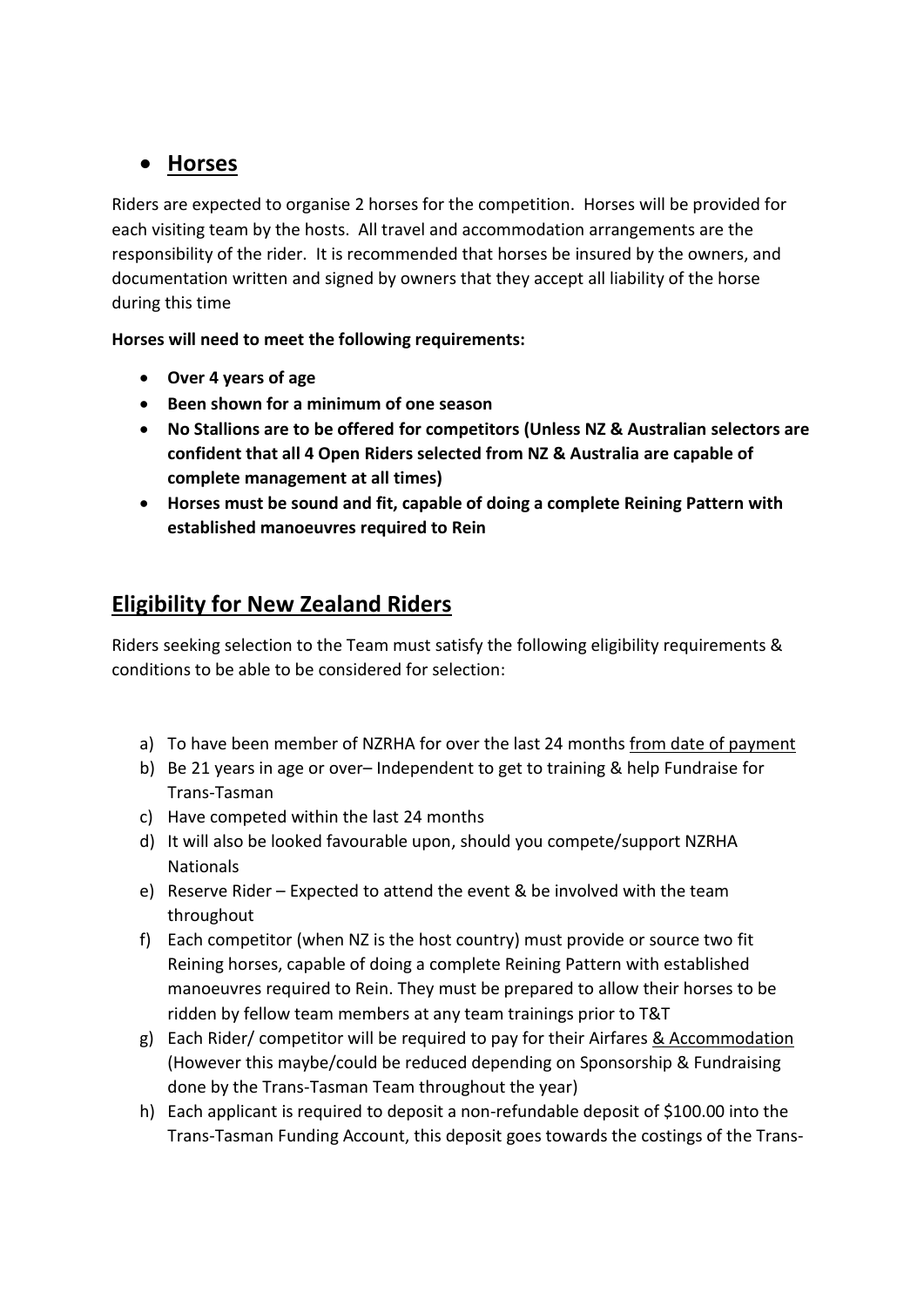#### **Horses**

Riders are expected to organise 2 horses for the competition. Horses will be provided for each visiting team by the hosts. All travel and accommodation arrangements are the responsibility of the rider. It is recommended that horses be insured by the owners, and documentation written and signed by owners that they accept all liability of the horse during this time

**Horses will need to meet the following requirements:**

- **Over 4 years of age**
- **Been shown for a minimum of one season**
- **No Stallions are to be offered for competitors (Unless NZ & Australian selectors are confident that all 4 Open Riders selected from NZ & Australia are capable of complete management at all times)**
- **Horses must be sound and fit, capable of doing a complete Reining Pattern with established manoeuvres required to Rein**

#### **Eligibility for New Zealand Riders**

Riders seeking selection to the Team must satisfy the following eligibility requirements & conditions to be able to be considered for selection:

- a) To have been member of NZRHA for over the last 24 months from date of payment
- b) Be 21 years in age or over– Independent to get to training & help Fundraise for Trans-Tasman
- c) Have competed within the last 24 months
- d) It will also be looked favourable upon, should you compete/support NZRHA Nationals
- e) Reserve Rider Expected to attend the event & be involved with the team throughout
- f) Each competitor (when NZ is the host country) must provide or source two fit Reining horses, capable of doing a complete Reining Pattern with established manoeuvres required to Rein. They must be prepared to allow their horses to be ridden by fellow team members at any team trainings prior to T&T
- g) Each Rider/ competitor will be required to pay for their Airfares & Accommodation (However this maybe/could be reduced depending on Sponsorship & Fundraising done by the Trans-Tasman Team throughout the year)
- h) Each applicant is required to deposit a non-refundable deposit of \$100.00 into the Trans-Tasman Funding Account, this deposit goes towards the costings of the Trans-